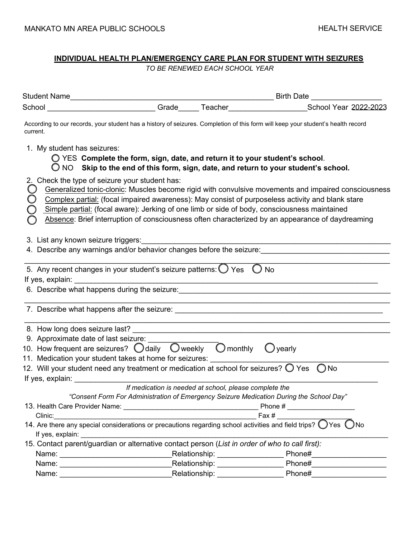# **INDIVIDUAL HEALTH PLAN/EMERGENCY CARE PLAN FOR STUDENT WITH SEIZURES**

*TO BE RENEWED EACH SCHOOL YEAR* 

| School                                                                                                                                                                                                                                                                                               |  |  | ___________________________Grade______ Teacher_______________________School Year 2022-2023                                                                                                                                                                                                                                                                                                                  |  |
|------------------------------------------------------------------------------------------------------------------------------------------------------------------------------------------------------------------------------------------------------------------------------------------------------|--|--|-------------------------------------------------------------------------------------------------------------------------------------------------------------------------------------------------------------------------------------------------------------------------------------------------------------------------------------------------------------------------------------------------------------|--|
| current.                                                                                                                                                                                                                                                                                             |  |  | According to our records, your student has a history of seizures. Completion of this form will keep your student's health record                                                                                                                                                                                                                                                                            |  |
| 1. My student has seizures:<br>◯ YES Complete the form, sign, date, and return it to your student's school.                                                                                                                                                                                          |  |  | $\bigcirc$ NO Skip to the end of this form, sign, date, and return to your student's school.                                                                                                                                                                                                                                                                                                                |  |
| 2. Check the type of seizure your student has:<br>O                                                                                                                                                                                                                                                  |  |  | Generalized tonic-clonic: Muscles become rigid with convulsive movements and impaired consciousness<br>Complex partial: (focal impaired awareness): May consist of purposeless activity and blank stare<br>Simple partial: (focal aware): Jerking of one limb or side of body, consciousness maintained<br>Absence: Brief interruption of consciousness often characterized by an appearance of daydreaming |  |
| 3. List any known seizure triggers:                                                                                                                                                                                                                                                                  |  |  | 4. Describe any warnings and/or behavior changes before the seizure:                                                                                                                                                                                                                                                                                                                                        |  |
| 5. Any recent changes in your student's seizure patterns: $\bigcirc$ Yes $\bigcirc$ No<br>If yes, explain:                                                                                                                                                                                           |  |  | <u> 1989 - Jan Samuel Barbara, margaret eta idazlea (h. 1989).</u><br>6. Describe what happens during the seizure: <b>contained a large set of the set of the set of the set of the set of the set of the set of the set of the set of the set of the set of the set of the set of the set of the set </b>                                                                                                  |  |
|                                                                                                                                                                                                                                                                                                      |  |  |                                                                                                                                                                                                                                                                                                                                                                                                             |  |
| 10. How frequent are seizures? $\bigcirc$ daily $\bigcirc$ weekly $\bigcirc$ monthly $\bigcirc$ yearly<br>11. Medication your student takes at home for seizures:<br>12. Will your student need any treatment or medication at school for seizures? $\bigcirc$ Yes $\bigcirc$ No<br>If yes, explain: |  |  |                                                                                                                                                                                                                                                                                                                                                                                                             |  |
| Clinic:                                                                                                                                                                                                                                                                                              |  |  | If medication is needed at school, please complete the<br>"Consent Form For Administration of Emergency Seizure Medication During the School Day"                                                                                                                                                                                                                                                           |  |
| 15. Contact parent/guardian or alternative contact person (List in order of who to call first):                                                                                                                                                                                                      |  |  | 14. Are there any special considerations or precautions regarding school activities and field trips? $\bigcirc$ Yes $\bigcirc$ No                                                                                                                                                                                                                                                                           |  |
|                                                                                                                                                                                                                                                                                                      |  |  |                                                                                                                                                                                                                                                                                                                                                                                                             |  |
|                                                                                                                                                                                                                                                                                                      |  |  | Name: Name: Name: Name: Name: Name: Name: Name: Name: Name: Name: Name: Name: Name: Name: Name: Name: Name: Na                                                                                                                                                                                                                                                                                              |  |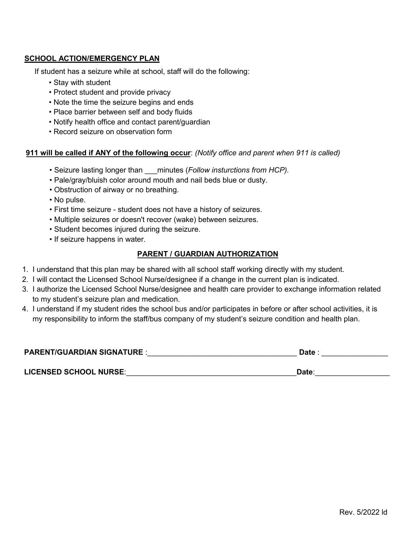# **SCHOOL ACTION/EMERGENCY PLAN**

If student has a seizure while at school, staff will do the following:

- Stay with student
- Protect student and provide privacy
- Note the time the seizure begins and ends
- Place barrier between self and body fluids
- Notify health office and contact parent/guardian
- Record seizure on observation form

### **911 will be called if ANY of the following occur**: *(Notify office and parent when 911 is called)*

- Seizure lasting longer than \_\_\_minutes (*Follow insturctions from HCP).*
- Pale/gray/bluish color around mouth and nail beds blue or dusty.
- Obstruction of airway or no breathing.
- No pulse.
- First time seizure student does not have a history of seizures.
- Multiple seizures or doesn't recover (wake) between seizures.
- Student becomes injured during the seizure.
- If seizure happens in water.

# **PARENT / GUARDIAN AUTHORIZATION**

- 1. I understand that this plan may be shared with all school staff working directly with my student.
- 2. I will contact the Licensed School Nurse/designee if a change in the current plan is indicated.
- 3. I authorize the Licensed School Nurse/designee and health care provider to exchange information related to my student's seizure plan and medication.
- 4. I understand if my student rides the school bus and/or participates in before or after school activities, it is my responsibility to inform the staff/bus company of my student's seizure condition and health plan.

| <b>PARENT/GUARDIAN SIGNATURE:</b> | Date |  |
|-----------------------------------|------|--|
|                                   |      |  |

**LICENSED SCHOOL NURSE**:\_\_\_\_\_\_\_\_\_\_\_\_\_\_\_\_\_\_\_\_\_\_\_\_\_\_\_\_\_\_\_\_\_\_\_\_\_\_\_\_\_**Date**:\_\_\_\_\_\_\_\_\_\_\_\_\_\_\_\_\_\_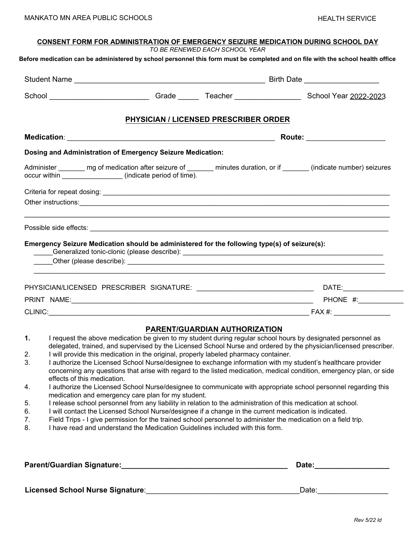| <b>CONSENT FORM FOR ADMINISTRATION OF EMERGENCY SEIZURE MEDICATION DURING SCHOOL DAY</b><br>TO BE RENEWED EACH SCHOOL YEAR |                                                                                      |                                       |                                                                                                                                                                                                                                      |  |  |
|----------------------------------------------------------------------------------------------------------------------------|--------------------------------------------------------------------------------------|---------------------------------------|--------------------------------------------------------------------------------------------------------------------------------------------------------------------------------------------------------------------------------------|--|--|
|                                                                                                                            |                                                                                      |                                       | Before medication can be administered by school personnel this form must be completed and on file with the school health office                                                                                                      |  |  |
|                                                                                                                            |                                                                                      |                                       |                                                                                                                                                                                                                                      |  |  |
|                                                                                                                            |                                                                                      |                                       | School _____________________________Grade ________Teacher ______________________School Year 2022-2023                                                                                                                                |  |  |
|                                                                                                                            |                                                                                      | PHYSICIAN / LICENSED PRESCRIBER ORDER |                                                                                                                                                                                                                                      |  |  |
|                                                                                                                            |                                                                                      |                                       | Route: ____________________                                                                                                                                                                                                          |  |  |
|                                                                                                                            | Dosing and Administration of Emergency Seizure Medication:                           |                                       |                                                                                                                                                                                                                                      |  |  |
|                                                                                                                            |                                                                                      |                                       | Administer _______ mg of medication after seizure of _______ minutes duration, or if ______ (indicate number) seizures                                                                                                               |  |  |
|                                                                                                                            |                                                                                      |                                       |                                                                                                                                                                                                                                      |  |  |
|                                                                                                                            |                                                                                      |                                       | Other instructions: <u>example and contract and contract and contract and contract and contract and contract and contract and contract and contract and contract and contract and contract and contract and contract and contrac</u> |  |  |
| Emergency Seizure Medication should be administered for the following type(s) of seizure(s):                               |                                                                                      |                                       |                                                                                                                                                                                                                                      |  |  |
|                                                                                                                            |                                                                                      |                                       | PHYSICIAN/LICENSED PRESCRIBER SIGNATURE: ___________________________________DATE:___________________                                                                                                                                 |  |  |
|                                                                                                                            |                                                                                      |                                       |                                                                                                                                                                                                                                      |  |  |
|                                                                                                                            |                                                                                      |                                       |                                                                                                                                                                                                                                      |  |  |
|                                                                                                                            |                                                                                      | <b>PARENT/GUARDIAN AUTHORIZATION</b>  |                                                                                                                                                                                                                                      |  |  |
| $\mathbf{1}$ .<br>2.                                                                                                       | I will provide this medication in the original, properly labeled pharmacy container. |                                       | I request the above medication be given to my student during regular school hours by designated personnel as<br>delegated, trained, and supervised by the Licensed School Nurse and ordered by the physician/licensed prescriber.    |  |  |
| 3.<br>effects of this medication.                                                                                          |                                                                                      |                                       | I authorize the Licensed School Nurse/designee to exchange information with my student's healthcare provider<br>concerning any questions that arise with regard to the listed medication, medical condition, emergency plan, or side |  |  |
| 4.                                                                                                                         | medication and emergency care plan for my student.                                   |                                       | I authorize the Licensed School Nurse/designee to communicate with appropriate school personnel regarding this                                                                                                                       |  |  |
| 5.                                                                                                                         |                                                                                      |                                       | I release school personnel from any liability in relation to the administration of this medication at school.                                                                                                                        |  |  |

- 6. I will contact the Licensed School Nurse/designee if a change in the current medication is indicated.
- 7. Field Trips I give permission for the trained school personnel to administer the medication on a field trip.
- 8. I have read and understand the Medication Guidelines included with this form.

| Parent/Guardian Signature:       | Date: |
|----------------------------------|-------|
|                                  |       |
| Licensed School Nurse Signature: | Date: |